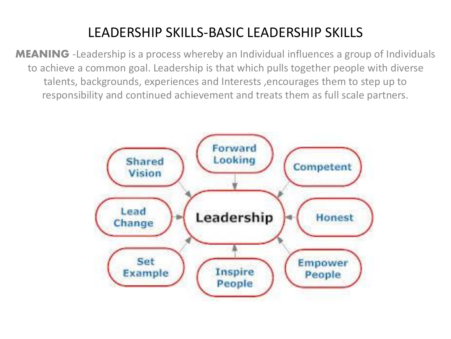# LEADERSHIP SKILLS-BASIC LEADERSHIP SKILLS

**MEANING** -Leadership is a process whereby an Individual influences a group of Individuals to achieve a common goal. Leadership is that which pulls together people with diverse talents, backgrounds, experiences and Interests ,encourages them to step up to responsibility and continued achievement and treats them as full scale partners.

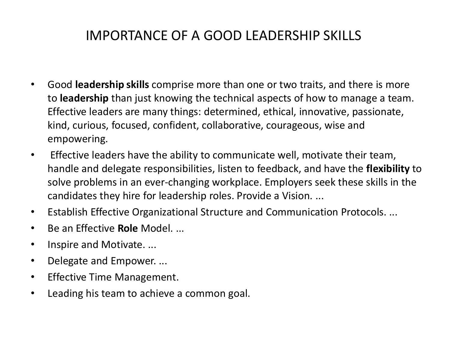# IMPORTANCE OF A GOOD LEADERSHIP SKILLS

- Good **leadership skills** comprise more than one or two traits, and there is more to **leadership** than just knowing the technical aspects of how to manage a team. Effective leaders are many things: determined, ethical, innovative, passionate, kind, curious, focused, confident, collaborative, courageous, wise and empowering.
- Effective leaders have the ability to communicate well, motivate their team, handle and delegate responsibilities, listen to feedback, and have the **flexibility** to solve problems in an ever-changing workplace. Employers seek these skills in the candidates they hire for leadership roles. Provide a Vision. ...
- Establish Effective Organizational Structure and Communication Protocols. ...
- Be an Effective **Role** Model. ...
- Inspire and Motivate. ...
- Delegate and Empower. ...
- Effective Time Management.
- Leading his team to achieve a common goal.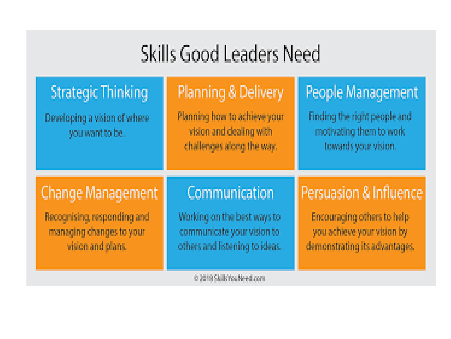# Skills Good Leaders Need

| <b>Strategic Thinking</b><br>Developing a vision of where<br>you want to be. | Planning & Delivery<br>Planning how to achieve your<br>vision and dealing with<br>challenges along the way. | People Management<br>Finding the right people and<br>motivating them to work.<br>towards your vision. |
|------------------------------------------------------------------------------|-------------------------------------------------------------------------------------------------------------|-------------------------------------------------------------------------------------------------------|
| Change Management                                                            | Communication                                                                                               | Persuasion & Influence                                                                                |
| Recognising, responding and                                                  | Working on the best ways to                                                                                 | Encouraging others to help                                                                            |
| managing changes to your                                                     | communicate your vision to                                                                                  | you achieve your vision by                                                                            |
| vision and plans.                                                            | others and listening to ideas.                                                                              | demonstrating its advantages.                                                                         |

@2019 Stub You Need com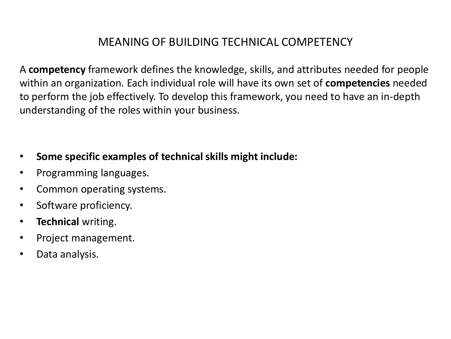# MEANING OF BUILDING TECHNICAL COMPETENCY

A **competency** framework defines the knowledge, skills, and attributes needed for people within an organization. Each individual role will have its own set of **competencies** needed to perform the job effectively. To develop this framework, you need to have an in-depth understanding of the roles within your business.

- **Some specific examples of technical skills might include:**
- Programming languages.
- Common operating systems.
- Software proficiency.
- **Technical** writing.
- Project management.
- Data analysis.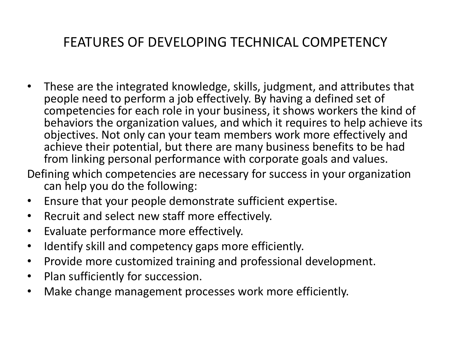# FEATURES OF DEVELOPING TECHNICAL COMPETENCY

• These are the integrated knowledge, skills, judgment, and attributes that people need to perform a job effectively. By having a defined set of competencies for each role in your business, it shows workers the kind of behaviors the organization values, and which it requires to help achieve its objectives. Not only can your team members work more effectively and achieve their potential, but there are many business benefits to be had from linking personal performance with corporate goals and values.

Defining which competencies are necessary for success in your organization can help you do the following:

- Ensure that your people demonstrate sufficient expertise.
- Recruit and select new staff more effectively.
- Evaluate performance more effectively.
- Identify skill and competency gaps more efficiently.
- Provide more customized training and professional development.
- Plan sufficiently for succession.
- Make change management processes work more efficiently.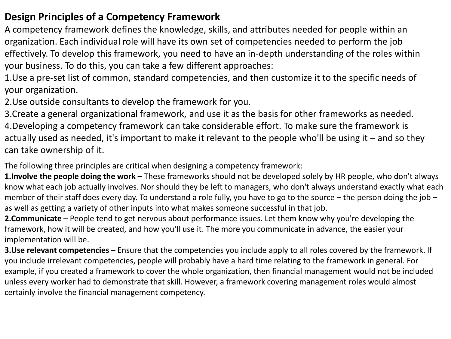### **Design Principles of a Competency Framework**

A competency framework defines the knowledge, skills, and attributes needed for people within an organization. Each individual role will have its own set of competencies needed to perform the job effectively. To develop this framework, you need to have an in-depth understanding of the roles within your business. To do this, you can take a few different approaches:

1.Use a pre-set list of common, standard competencies, and then customize it to the specific needs of your organization.

2.Use outside consultants to develop the framework for you.

3.Create a general organizational framework, and use it as the basis for other frameworks as needed. 4.Developing a competency framework can take considerable effort. To make sure the framework is actually used as needed, it's important to make it relevant to the people who'll be using it – and so they can take ownership of it.

The following three principles are critical when designing a competency framework:

**1.Involve the people doing the work** – These frameworks should not be developed solely by HR people, who don't always know what each job actually involves. Nor should they be left to managers, who don't always understand exactly what each member of their staff does every day. To understand a role fully, you have to go to the source – the person doing the job – as well as getting a variety of other inputs into what makes someone successful in that job.

**2.Communicate** – People tend to get nervous about performance issues. Let them know why you're developing the framework, how it will be created, and how you'll use it. The more you communicate in advance, the easier your implementation will be.

**3.Use relevant competencies** – Ensure that the competencies you include apply to all roles covered by the framework. If you include irrelevant competencies, people will probably have a hard time relating to the framework in general. For example, if you created a framework to cover the whole organization, then financial management would not be included unless every worker had to demonstrate that skill. However, a framework covering management roles would almost certainly involve the financial management competency.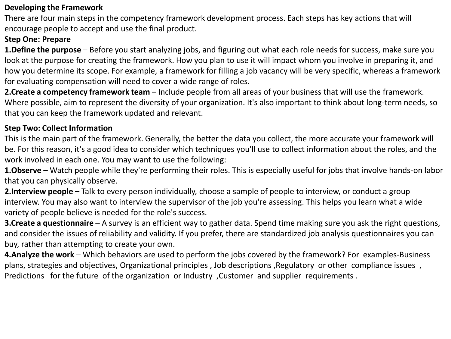#### **Developing the Framework**

There are four main steps in the competency framework development process. Each steps has key actions that will encourage people to accept and use the final product.

#### **Step One: Prepare**

**1.Define the purpose** – Before you start analyzing jobs, and figuring out what each role needs for success, make sure you look at the purpose for creating the framework. How you plan to use it will impact whom you involve in preparing it, and how you determine its scope. For example, a framework for filling a job vacancy will be very specific, whereas a framework for evaluating compensation will need to cover a wide range of roles.

**2.Create a competency framework team** – Include people from all areas of your business that will use the framework. Where possible, aim to represent the diversity of your organization. It's also important to think about long-term needs, so that you can keep the framework updated and relevant.

#### **Step Two: Collect Information**

This is the main part of the framework. Generally, the better the data you collect, the more accurate your framework will be. For this reason, it's a good idea to consider which techniques you'll use to collect information about the roles, and the work involved in each one. You may want to use the following:

**1.Observe** – Watch people while they're performing their roles. This is especially useful for jobs that involve hands-on labor that you can physically observe.

**2.Interview people** – Talk to every person individually, choose a sample of people to interview, or conduct a group interview. You may also want to interview the supervisor of the job you're assessing. This helps you learn what a wide variety of people believe is needed for the role's success.

**3.Create a questionnaire** – A survey is an efficient way to gather data. Spend time making sure you ask the right questions, and consider the issues of reliability and validity. If you prefer, there are standardized job analysis questionnaires you can buy, rather than attempting to create your own.

**4.Analyze the work** – Which behaviors are used to perform the jobs covered by the framework? For examples-Business plans, strategies and objectives, Organizational principles , Job descriptions ,Regulatory or other compliance issues , Predictions for the future of the organization or Industry ,Customer and supplier requirements .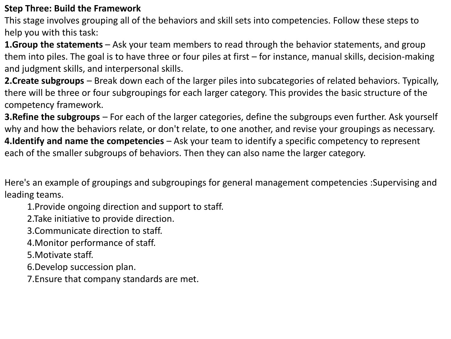#### **Step Three: Build the Framework**

This stage involves grouping all of the behaviors and skill sets into competencies. Follow these steps to help you with this task:

**1.Group the statements** – Ask your team members to read through the behavior statements, and group them into piles. The goal is to have three or four piles at first – for instance, manual skills, decision-making and judgment skills, and interpersonal skills.

**2.Create subgroups** – Break down each of the larger piles into subcategories of related behaviors. Typically, there will be three or four subgroupings for each larger category. This provides the basic structure of the competency framework.

**3.Refine the subgroups** – For each of the larger categories, define the subgroups even further. Ask yourself why and how the behaviors relate, or don't relate, to one another, and revise your groupings as necessary. **4.Identify and name the competencies** – Ask your team to identify a specific competency to represent each of the smaller subgroups of behaviors. Then they can also name the larger category.

Here's an example of groupings and subgroupings for general management competencies :Supervising and leading teams.

1.Provide ongoing direction and support to staff.

2.Take initiative to provide direction.

3.Communicate direction to staff.

4.Monitor performance of staff.

5.Motivate staff.

6.Develop succession plan.

7.Ensure that company standards are met.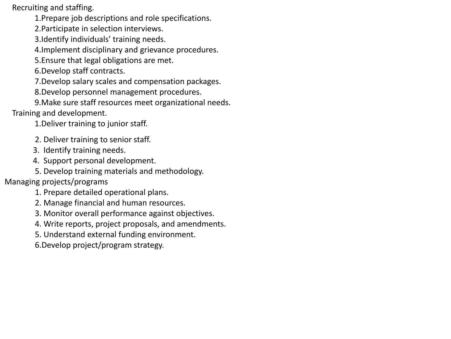Recruiting and staffing.

1.Prepare job descriptions and role specifications.

2.Participate in selection interviews.

3.Identify individuals' training needs.

4.Implement disciplinary and grievance procedures.

5.Ensure that legal obligations are met.

6.Develop staff contracts.

7.Develop salary scales and compensation packages.

8.Develop personnel management procedures.

9.Make sure staff resources meet organizational needs. Training and development.

1.Deliver training to junior staff.

2. Deliver training to senior staff.

3. Identify training needs.

4. Support personal development.

5. Develop training materials and methodology.

Managing projects/programs

1. Prepare detailed operational plans.

2. Manage financial and human resources.

3. Monitor overall performance against objectives.

4. Write reports, project proposals, and amendments.

5. Understand external funding environment.

6.Develop project/program strategy.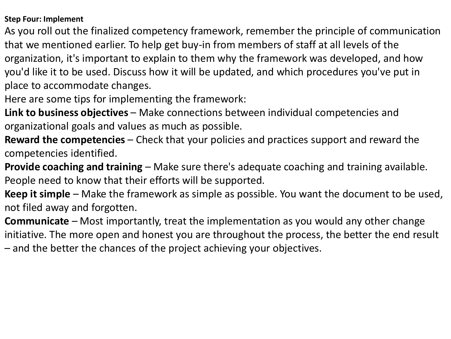#### **Step Four: Implement**

As you roll out the finalized competency framework, remember the principle of communication that we mentioned earlier. To help get buy-in from members of staff at all levels of the organization, it's important to explain to them why the framework was developed, and how you'd like it to be used. Discuss how it will be updated, and which procedures you've put in place to accommodate changes.

Here are some tips for implementing the framework:

**Link to business objectives** – Make connections between individual competencies and organizational goals and values as much as possible.

**Reward the competencies** – Check that your policies and practices support and reward the competencies identified.

**Provide coaching and training** – Make sure there's adequate coaching and training available. People need to know that their efforts will be supported.

**Keep it simple** – Make the framework as simple as possible. You want the document to be used, not filed away and forgotten.

**Communicate** – Most importantly, treat the implementation as you would any other change initiative. The more open and honest you are throughout the process, the better the end result

– and the better the chances of the project achieving your objectives.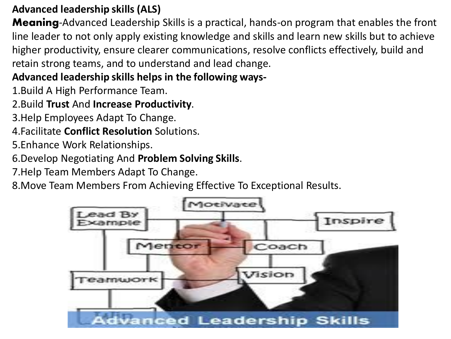## **Advanced leadership skills (ALS)**

**Meaning-Advanced Leadership Skills is a practical, hands-on program that enables the front** line leader to not only apply existing knowledge and skills and learn new skills but to achieve higher productivity, ensure clearer communications, resolve conflicts effectively, build and retain strong teams, and to understand and lead change.

# **Advanced leadership skills helps in the following ways-**

1.Build A High Performance Team.

# 2.Build **Trust** And **Increase Productivity**.

- 3.Help Employees Adapt To Change.
- 4.Facilitate **Conflict Resolution** Solutions.
- 5.Enhance Work Relationships.
- 6.Develop Negotiating And **Problem Solving Skills**.
- 7.Help Team Members Adapt To Change.
- 8.Move Team Members From Achieving Effective To Exceptional Results.

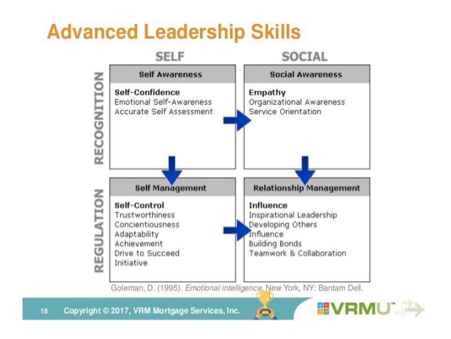# **Advanced Leadership Skills**



Goleman, D. (1995). Emotional intelligence, New York, NY: Bantam Dell.

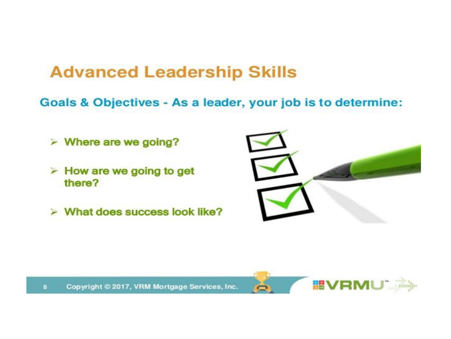# **Advanced Leadership Skills**

Goals & Objectives - As a leader, your job is to determine:

- $\triangleright$  Where are we going?
- $\triangleright$  How are we going to get there?
- $\triangleright$  What does success look like?



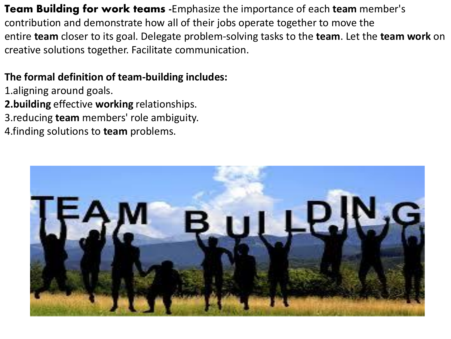Team Building for work teams -Emphasize the importance of each **team** member's contribution and demonstrate how all of their jobs operate together to move the entire **team** closer to its goal. Delegate problem-solving tasks to the **team**. Let the **team work** on creative solutions together. Facilitate communication.

## **The formal definition of team-building includes:**

- 1.aligning around goals. **2.building** effective **working** relationships. 3.reducing **team** members' role ambiguity.
- 4.finding solutions to **team** problems.

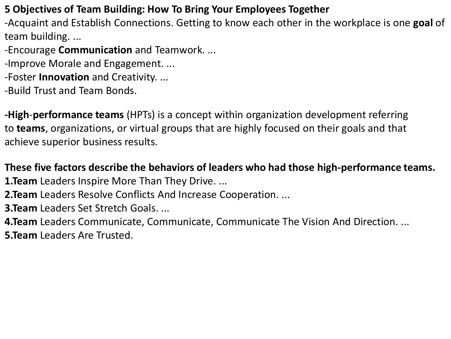## **5 Objectives of Team Building: How To Bring Your Employees Together**

-Acquaint and Establish Connections. Getting to know each other in the workplace is one **goal** of team building. ...

- -Encourage **Communication** and Teamwork. ...
- -Improve Morale and Engagement. ...
- -Foster **Innovation** and Creativity. ...
- -Build Trust and Team Bonds.

**-High**-**performance teams** (HPTs) is a concept within organization development referring to **teams**, organizations, or virtual groups that are highly focused on their goals and that achieve superior business results.

## **These five factors describe the behaviors of leaders who had those high-performance teams.**

- **1. Team** Leaders Inspire More Than They Drive. ...
- **2.Team** Leaders Resolve Conflicts And Increase Cooperation. ...
- **3.Team** Leaders Set Stretch Goals. ...

**4.Team** Leaders Communicate, Communicate, Communicate The Vision And Direction. ... **5.Team** Leaders Are Trusted.